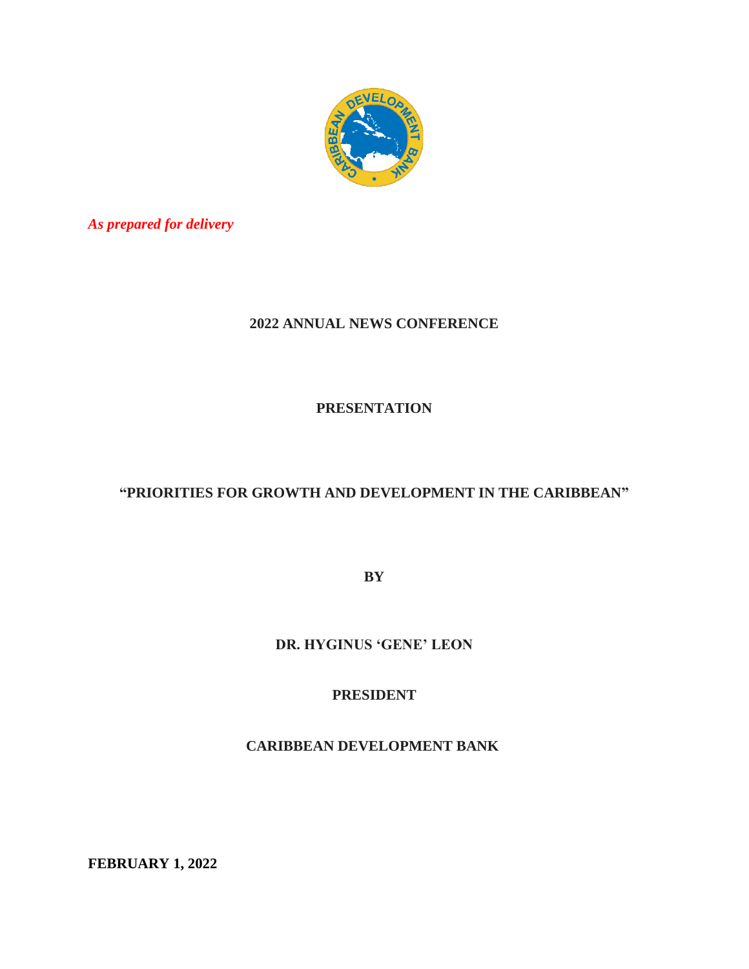

*As prepared for delivery*

## **2022 ANNUAL NEWS CONFERENCE**

**PRESENTATION**

## **"PRIORITIES FOR GROWTH AND DEVELOPMENT IN THE CARIBBEAN"**

**BY** 

**DR. HYGINUS 'GENE' LEON**

**PRESIDENT**

**CARIBBEAN DEVELOPMENT BANK**

**FEBRUARY 1, 2022**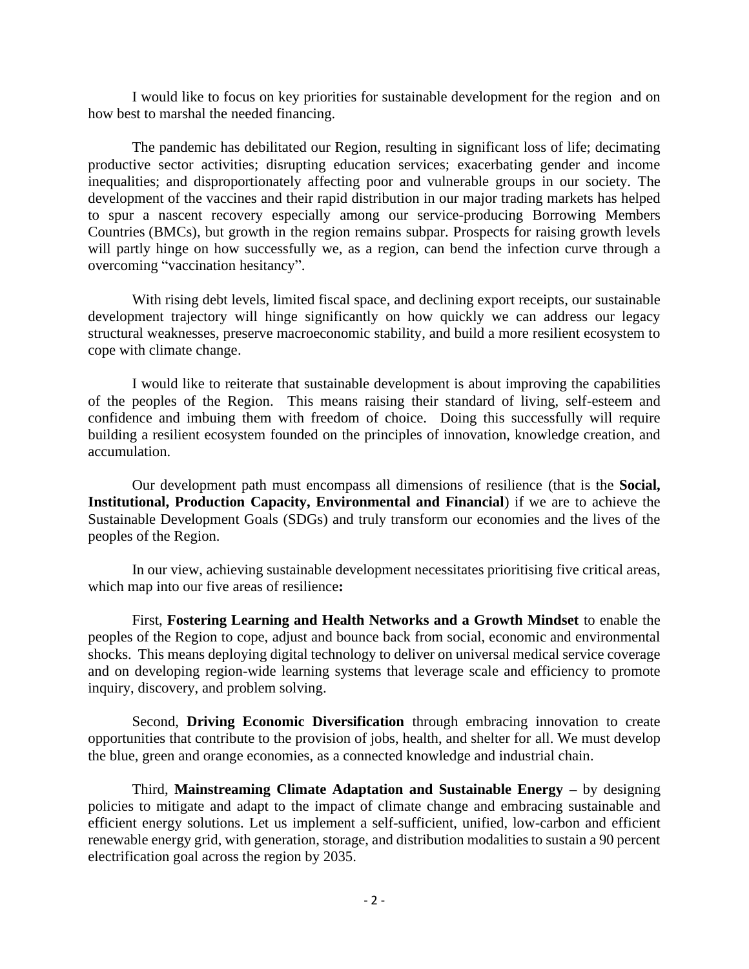I would like to focus on key priorities for sustainable development for the region and on how best to marshal the needed financing.

The pandemic has debilitated our Region, resulting in significant loss of life; decimating productive sector activities; disrupting education services; exacerbating gender and income inequalities; and disproportionately affecting poor and vulnerable groups in our society. The development of the vaccines and their rapid distribution in our major trading markets has helped to spur a nascent recovery especially among our service-producing Borrowing Members Countries (BMCs), but growth in the region remains subpar. Prospects for raising growth levels will partly hinge on how successfully we, as a region, can bend the infection curve through a overcoming "vaccination hesitancy".

With rising debt levels, limited fiscal space, and declining export receipts, our sustainable development trajectory will hinge significantly on how quickly we can address our legacy structural weaknesses, preserve macroeconomic stability, and build a more resilient ecosystem to cope with climate change.

I would like to reiterate that sustainable development is about improving the capabilities of the peoples of the Region. This means raising their standard of living, self-esteem and confidence and imbuing them with freedom of choice. Doing this successfully will require building a resilient ecosystem founded on the principles of innovation, knowledge creation, and accumulation.

Our development path must encompass all dimensions of resilience (that is the **Social, Institutional, Production Capacity, Environmental and Financial**) if we are to achieve the Sustainable Development Goals (SDGs) and truly transform our economies and the lives of the peoples of the Region.

In our view, achieving sustainable development necessitates prioritising five critical areas, which map into our five areas of resilience**:**

First, **Fostering Learning and Health Networks and a Growth Mindset** to enable the peoples of the Region to cope, adjust and bounce back from social, economic and environmental shocks. This means deploying digital technology to deliver on universal medical service coverage and on developing region-wide learning systems that leverage scale and efficiency to promote inquiry, discovery, and problem solving.

Second, **Driving Economic Diversification** through embracing innovation to create opportunities that contribute to the provision of jobs, health, and shelter for all. We must develop the blue, green and orange economies, as a connected knowledge and industrial chain.

Third, **Mainstreaming Climate Adaptation and Sustainable Energy –** by designing policies to mitigate and adapt to the impact of climate change and embracing sustainable and efficient energy solutions. Let us implement a self-sufficient, unified, low-carbon and efficient renewable energy grid, with generation, storage, and distribution modalities to sustain a 90 percent electrification goal across the region by 2035.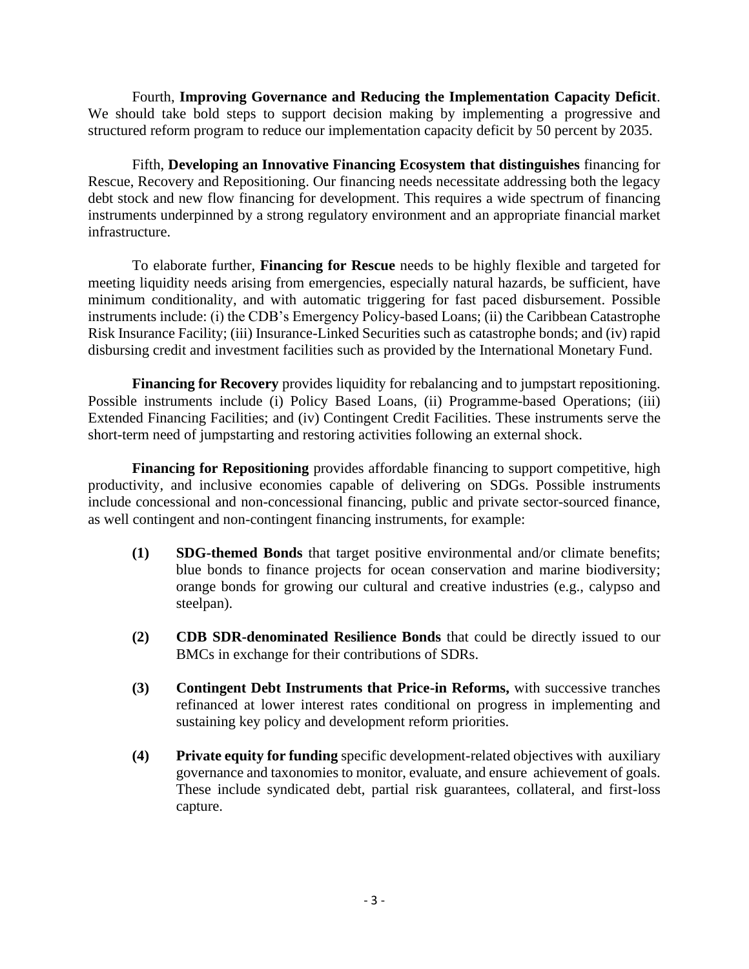Fourth, **Improving Governance and Reducing the Implementation Capacity Deficit**. We should take bold steps to support decision making by implementing a progressive and structured reform program to reduce our implementation capacity deficit by 50 percent by 2035.

Fifth, **Developing an Innovative Financing Ecosystem that distinguishes** financing for Rescue, Recovery and Repositioning. Our financing needs necessitate addressing both the legacy debt stock and new flow financing for development. This requires a wide spectrum of financing instruments underpinned by a strong regulatory environment and an appropriate financial market infrastructure.

To elaborate further, **Financing for Rescue** needs to be highly flexible and targeted for meeting liquidity needs arising from emergencies, especially natural hazards, be sufficient, have minimum conditionality, and with automatic triggering for fast paced disbursement. Possible instruments include: (i) the CDB's Emergency Policy-based Loans; (ii) the Caribbean Catastrophe Risk Insurance Facility; (iii) Insurance-Linked Securities such as catastrophe bonds; and (iv) rapid disbursing credit and investment facilities such as provided by the International Monetary Fund.

**Financing for Recovery** provides liquidity for rebalancing and to jumpstart repositioning. Possible instruments include (i) Policy Based Loans, (ii) Programme-based Operations; (iii) Extended Financing Facilities; and (iv) Contingent Credit Facilities. These instruments serve the short-term need of jumpstarting and restoring activities following an external shock.

**Financing for Repositioning** provides affordable financing to support competitive, high productivity, and inclusive economies capable of delivering on SDGs. Possible instruments include concessional and non-concessional financing, public and private sector-sourced finance, as well contingent and non-contingent financing instruments, for example:

- **(1) SDG-themed Bonds** that target positive environmental and/or climate benefits; blue bonds to finance projects for ocean conservation and marine biodiversity; orange bonds for growing our cultural and creative industries (e.g., calypso and steelpan).
- **(2) CDB SDR-denominated Resilience Bonds** that could be directly issued to our BMCs in exchange for their contributions of SDRs.
- **(3) Contingent Debt Instruments that Price-in Reforms,** with successive tranches refinanced at lower interest rates conditional on progress in implementing and sustaining key policy and development reform priorities.
- **(4) Private equity for funding** specific development-related objectives with auxiliary governance and taxonomies to monitor, evaluate, and ensure achievement of goals. These include syndicated debt, partial risk guarantees, collateral, and first-loss capture.